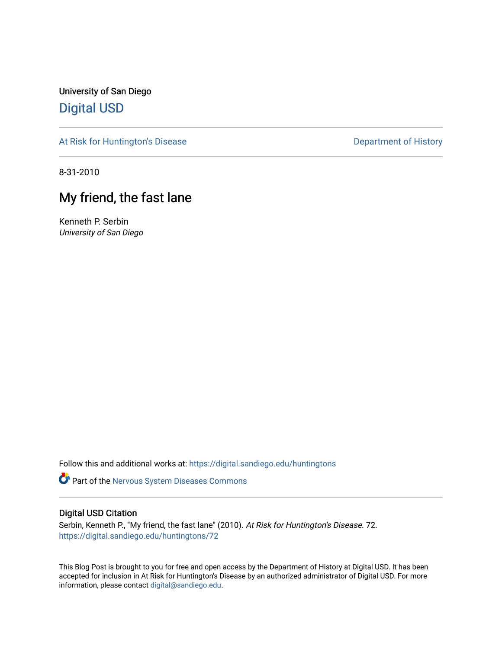University of San Diego [Digital USD](https://digital.sandiego.edu/)

[At Risk for Huntington's Disease](https://digital.sandiego.edu/huntingtons) **Department of History** Department of History

8-31-2010

## My friend, the fast lane

Kenneth P. Serbin University of San Diego

Follow this and additional works at: [https://digital.sandiego.edu/huntingtons](https://digital.sandiego.edu/huntingtons?utm_source=digital.sandiego.edu%2Fhuntingtons%2F72&utm_medium=PDF&utm_campaign=PDFCoverPages)

**Part of the [Nervous System Diseases Commons](http://network.bepress.com/hgg/discipline/928?utm_source=digital.sandiego.edu%2Fhuntingtons%2F72&utm_medium=PDF&utm_campaign=PDFCoverPages)** 

## Digital USD Citation

Serbin, Kenneth P., "My friend, the fast lane" (2010). At Risk for Huntington's Disease. 72. [https://digital.sandiego.edu/huntingtons/72](https://digital.sandiego.edu/huntingtons/72?utm_source=digital.sandiego.edu%2Fhuntingtons%2F72&utm_medium=PDF&utm_campaign=PDFCoverPages)

This Blog Post is brought to you for free and open access by the Department of History at Digital USD. It has been accepted for inclusion in At Risk for Huntington's Disease by an authorized administrator of Digital USD. For more information, please contact [digital@sandiego.edu.](mailto:digital@sandiego.edu)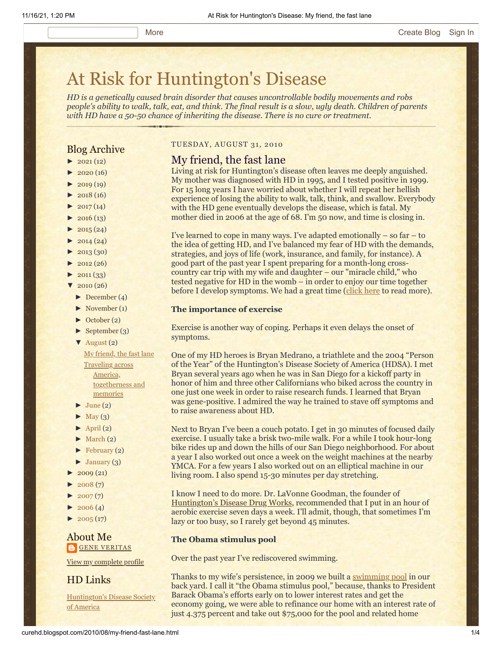# [At Risk for Huntington's Disease](http://curehd.blogspot.com/)

*HD is a genetically caused brain disorder that causes uncontrollable bodily movements and robs people's ability to walk, talk, eat, and think. The final result is a slow, ugly death. Children of parents with HD have a 50-50 chance of inheriting the disease. There is no cure or treatment.*

## Blog Archive

- $\blacktriangleright$  [2021](http://curehd.blogspot.com/2021/)(12)
- $2020(16)$  $2020(16)$
- $-2019(19)$  $-2019(19)$  $-2019(19)$
- $\blacktriangleright$  [2018](http://curehd.blogspot.com/2018/) (16)
- $2017(14)$  $2017(14)$
- $2016(13)$  $2016(13)$
- $\blacktriangleright$  [2015](http://curehd.blogspot.com/2015/) (24)
- $\blacktriangleright$  [2014](http://curehd.blogspot.com/2014/) (24)
- $\blacktriangleright$  [2013](http://curehd.blogspot.com/2013/) (30)
- $\blacktriangleright$  [2012](http://curehd.blogspot.com/2012/) (26)
- $\blacktriangleright$  [2011](http://curehd.blogspot.com/2011/) (33)
- $\sqrt{2010(26)}$  $\sqrt{2010(26)}$  $\sqrt{2010(26)}$ 
	- [►](javascript:void(0)) [December](http://curehd.blogspot.com/2010/12/) (4)
	- [►](javascript:void(0)) [November](http://curehd.blogspot.com/2010/11/) (1)
	- [►](javascript:void(0)) [October](http://curehd.blogspot.com/2010/10/) (2)
	- $\blacktriangleright$  [September](http://curehd.blogspot.com/2010/09/) (3)
	- [▼](javascript:void(0)) [August](http://curehd.blogspot.com/2010/08/) (2) My [friend,](http://curehd.blogspot.com/2010/08/my-friend-fast-lane.html) the fast lane Traveling across America, [togetherness](http://curehd.blogspot.com/2010/08/traveling-across-america-togetherness.html) and memories
	- $\blacktriangleright$  [June](http://curehd.blogspot.com/2010/06/) (2)
	- $\blacktriangleright$  [May](http://curehd.blogspot.com/2010/05/) (3)
	- $\blacktriangleright$  [April](http://curehd.blogspot.com/2010/04/) (2)
	- $\blacktriangleright$  [March](http://curehd.blogspot.com/2010/03/) (2)
	- [►](javascript:void(0)) [February](http://curehd.blogspot.com/2010/02/) (2)
	- $\blacktriangleright$  [January](http://curehd.blogspot.com/2010/01/) (3)
- $2009(21)$  $2009(21)$
- $2008(7)$  $2008(7)$
- $2007(7)$  $2007(7)$
- $2006(4)$  $2006(4)$
- $2005(17)$  $2005(17)$

#### About Me **GENE [VERITAS](https://www.blogger.com/profile/10911736205741688185)**

View my [complete](https://www.blogger.com/profile/10911736205741688185) profile

## HD Links

[Huntington's](http://www.hdsa.org/) Disease Society of America

#### TUESDAY, AUGUST 31, 2010

### My friend, the fast lane

Living at risk for Huntington's disease often leaves me deeply anguished. My mother was diagnosed with HD in 1995, and I tested positive in 1999. For 15 long years I have worried about whether I will repeat her hellish experience of losing the ability to walk, talk, think, and swallow. Everybody with the HD gene eventually develops the disease, which is fatal. My mother died in 2006 at the age of 68. I'm 50 now, and time is closing in.

I've learned to cope in many ways. I've adapted emotionally  $-$  so far  $-$  to the idea of getting HD, and I've balanced my fear of HD with the demands, strategies, and joys of life (work, insurance, and family, for instance). A good part of the past year I spent preparing for a month-long crosscountry car trip with my wife and daughter – our "miracle child," who tested negative for HD in the womb – in order to enjoy our time together before I develop symptoms. We had a great time ([click here](http://curehd.blogspot.com/2010/08/traveling-across-america-togetherness.html) to read more).

#### **The importance of exercise**

Exercise is another way of coping. Perhaps it even delays the onset of symptoms.

One of my HD heroes is Bryan Medrano, a triathlete and the 2004 "Person of the Year" of the Huntington's Disease Society of America (HDSA). I met Bryan several years ago when he was in San Diego for a kickoff party in honor of him and three other Californians who biked across the country in one just one week in order to raise research funds. I learned that Bryan was gene-positive. I admired the way he trained to stave off symptoms and to raise awareness about HD.

Next to Bryan I've been a couch potato. I get in 30 minutes of focused daily exercise. I usually take a brisk two-mile walk. For a while I took hour-long bike rides up and down the hills of our San Diego neighborhood. For about a year I also worked out once a week on the weight machines at the nearby YMCA. For a few years I also worked out on an elliptical machine in our living room. I also spend 15-30 minutes per day stretching.

I know I need to do more. Dr. LaVonne Goodman, the founder of [Huntington's Disease Drug Works](http://hddrugworks.org/), recommended that I put in an hour of aerobic exercise seven days a week. I'll admit, though, that sometimes I'm lazy or too busy, so I rarely get beyond 45 minutes.

#### **The Obama stimulus pool**

Over the past year I've rediscovered swimming.

Thanks to my wife's persistence, in 2009 we built a [swimming pool](http://curehd.blogspot.com/2009/04/in-time-of-crisis-best-investment-of.html) in our back yard. I call it "the Obama stimulus pool," because, thanks to President Barack Obama's efforts early on to lower interest rates and get the economy going, we were able to refinance our home with an interest rate of just 4.375 percent and take out \$75,000 for the pool and related home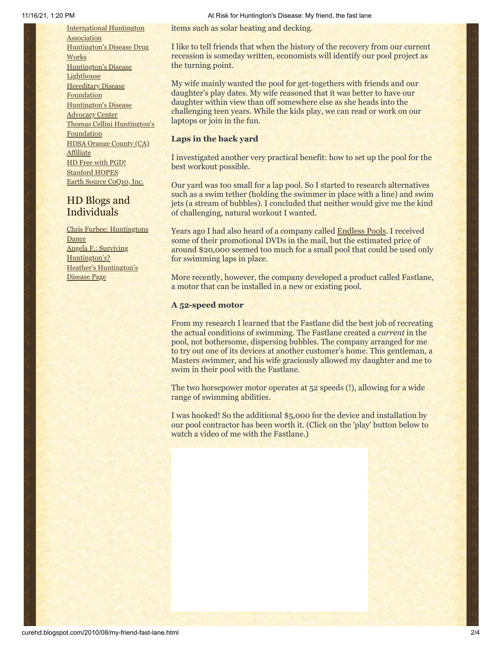[International](http://www.huntington-assoc.com/) Huntington **Association** [Huntington's](http://hddrugworks.org/) Disease Drug **Works** [Huntington's](http://www.hdlighthouse.org/) Disease **Lighthouse [Hereditary](http://www.hdfoundation.org/) Disease Foundation** [Huntington's](http://www.hdac.org/) Disease Advocacy Center Thomas [Cellini Huntington's](http://www.ourtchfoundation.org/) **Foundation** HDSA Orange County (CA) **[Affiliate](http://www.hdsaoc.org/)** HD Free with [PGD!](http://www.hdfreewithpgd.com/) [Stanford](http://www.stanford.edu/group/hopes/) HOPES Earth Source [CoQ10,](http://www.escoq10.com/) Inc.

## HD Blogs and Individuals

Chris Furbee: [Huntingtons](http://www.huntingtonsdance.org/) Dance Angela F.: Surviving [Huntington's?](http://survivinghuntingtons.blogspot.com/) Heather's [Huntington's](http://heatherdugdale.angelfire.com/) Disease Page

items such as solar heating and decking.

I like to tell friends that when the history of the recovery from our current recession is someday written, economists will identify our pool project as the turning point.

My wife mainly wanted the pool for get-togethers with friends and our daughter's play dates. My wife reasoned that it was better to have our daughter within view than off somewhere else as she heads into the challenging teen years. While the kids play, we can read or work on our laptops or join in the fun.

## **Laps in the back yard**

I investigated another very practical benefit: how to set up the pool for the best workout possible.

Our yard was too small for a lap pool. So I started to research alternatives such as a swim tether (holding the swimmer in place with a line) and swim jets (a stream of bubbles). I concluded that neither would give me the kind of challenging, natural workout I wanted.

Years ago I had also heard of a company called [Endless Pools.](http://www.endlesspools.com/) I received some of their promotional DVDs in the mail, but the estimated price of around \$20,000 seemed too much for a small pool that could be used only for swimming laps in place.

More recently, however, the company developed a product called Fastlane, a motor that can be installed in a new or existing pool.

## **A 52-speed motor**

From my research I learned that the Fastlane did the best job of recreating the actual conditions of swimming. The Fastlane created a *current* in the pool, not bothersome, dispersing bubbles. The company arranged for me to try out one of its devices at another customer's home. This gentleman, a Masters swimmer, and his wife graciously allowed my daughter and me to swim in their pool with the Fastlane.

The two horsepower motor operates at 52 speeds (!), allowing for a wide range of swimming abilities.

I was hooked! So the additional \$5,000 for the device and installation by our pool contractor has been worth it. (Click on the 'play' button below to watch a video of me with the Fastlane.)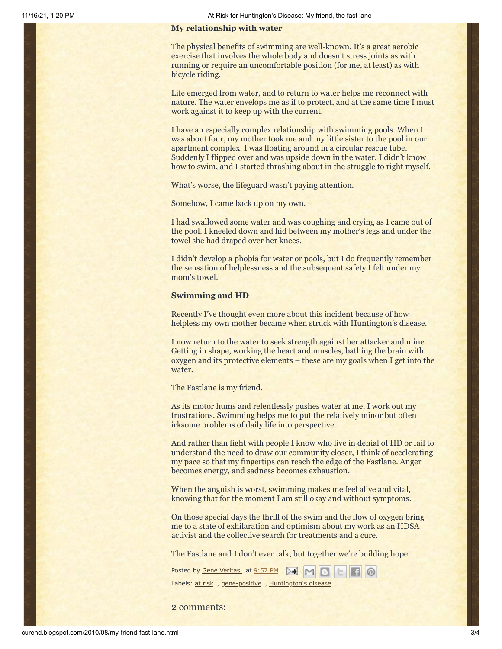#### **My relationship with water**

The physical benefits of swimming are well-known. It's a great aerobic exercise that involves the whole body and doesn't stress joints as with running or require an uncomfortable position (for me, at least) as with bicycle riding.

Life emerged from water, and to return to water helps me reconnect with nature. The water envelops me as if to protect, and at the same time I must work against it to keep up with the current.

I have an especially complex relationship with swimming pools. When I was about four, my mother took me and my little sister to the pool in our apartment complex. I was floating around in a circular rescue tube. Suddenly I flipped over and was upside down in the water. I didn't know how to swim, and I started thrashing about in the struggle to right myself.

What's worse, the lifeguard wasn't paying attention.

Somehow, I came back up on my own.

I had swallowed some water and was coughing and crying as I came out of the pool. I kneeled down and hid between my mother's legs and under the towel she had draped over her knees.

I didn't develop a phobia for water or pools, but I do frequently remember the sensation of helplessness and the subsequent safety I felt under my mom's towel.

#### **Swimming and HD**

Recently I've thought even more about this incident because of how helpless my own mother became when struck with Huntington's disease.

I now return to the water to seek strength against her attacker and mine. Getting in shape, working the heart and muscles, bathing the brain with oxygen and its protective elements – these are my goals when I get into the water.

The Fastlane is my friend.

As its motor hums and relentlessly pushes water at me, I work out my frustrations. Swimming helps me to put the relatively minor but often irksome problems of daily life into perspective.

And rather than fight with people I know who live in denial of HD or fail to understand the need to draw our community closer, I think of accelerating my pace so that my fingertips can reach the edge of the Fastlane. Anger becomes energy, and sadness becomes exhaustion.

When the anguish is worst, swimming makes me feel alive and vital, knowing that for the moment I am still okay and without symptoms.

On those special days the thrill of the swim and the flow of oxygen bring me to a state of exhilaration and optimism about my work as an HDSA activist and the collective search for treatments and a cure.

The Fastlane and I don't ever talk, but together we're building hope.

| Posted by <u>Gene Veritas</u> at <u>9:57 PM</u> M M B H A |  |  |  |  |  |  |
|-----------------------------------------------------------|--|--|--|--|--|--|
| Labels: at risk, gene-positive, Huntington's disease      |  |  |  |  |  |  |

2 comments: